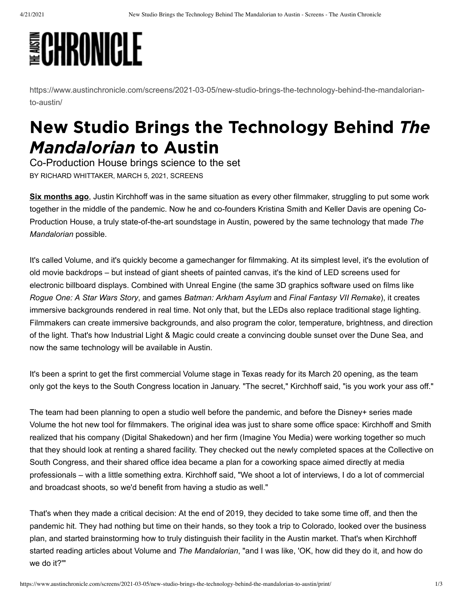## **ECHRONICLE**

[https://www.austinchronicle.com/screens/2021-03-05/new-studio-brings-the-technology-behind-the-mandalorian](https://www.austinchronicle.com/screens/2021-03-05/new-studio-brings-the-technology-behind-the-mandalorian-to-austin/)to-austin/

## New Studio Brings the Technology Behind The Mandalorian to Austin

Co-Production House brings science to the set BY [RICHARD WHITTAKER,](https://www.austinchronicle.com/authors/richard-whittaker/) MARCH 5, 2021, SCREENS

**[Six months ago](https://www.austinchronicle.com/daily/screens/2020-07-02/pandemic-production-justin-kirchhoff-director-director-of-photography/)**, Justin Kirchhoff was in the same situation as every other filmmaker, struggling to put some work together in the middle of the pandemic. Now he and co-founders Kristina Smith and Keller Davis are opening Co-Production House, a truly state-of-the-art soundstage in Austin, powered by the same technology that made *The Mandalorian* possible.

It's called Volume, and it's quickly become a gamechanger for filmmaking. At its simplest level, it's the evolution of old movie backdrops – but instead of giant sheets of painted canvas, it's the kind of LED screens used for electronic billboard displays. Combined with Unreal Engine (the same 3D graphics software used on films like *Rogue One: A Star Wars Story*, and games *Batman: Arkham Asylum* and *Final Fantasy VII Remake*), it creates immersive backgrounds rendered in real time. Not only that, but the LEDs also replace traditional stage lighting. Filmmakers can create immersive backgrounds, and also program the color, temperature, brightness, and direction of the light. That's how Industrial Light & Magic could create a convincing double sunset over the Dune Sea, and now the same technology will be available in Austin.

It's been a sprint to get the first commercial Volume stage in Texas ready for its March 20 opening, as the team only got the keys to the South Congress location in January. "The secret," Kirchhoff said, "is you work your ass off."

The team had been planning to open a studio well before the pandemic, and before the Disney+ series made Volume the hot new tool for filmmakers. The original idea was just to share some office space: Kirchhoff and Smith realized that his company (Digital Shakedown) and her firm (Imagine You Media) were working together so much that they should look at renting a shared facility. They checked out the newly completed spaces at the Collective on South Congress, and their shared office idea became a plan for a coworking space aimed directly at media professionals – with a little something extra. Kirchhoff said, "We shoot a lot of interviews, I do a lot of commercial and broadcast shoots, so we'd benefit from having a studio as well."

That's when they made a critical decision: At the end of 2019, they decided to take some time off, and then the pandemic hit. They had nothing but time on their hands, so they took a trip to Colorado, looked over the business plan, and started brainstorming how to truly distinguish their facility in the Austin market. That's when Kirchhoff started reading articles about Volume and *The Mandalorian*, "and I was like, 'OK, how did they do it, and how do we do it?'"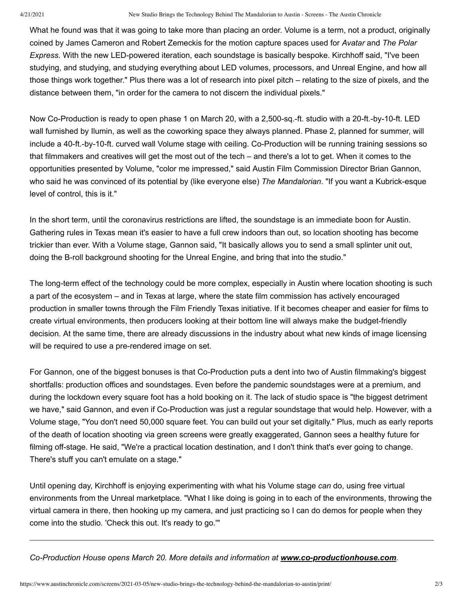What he found was that it was going to take more than placing an order. Volume is a term, not a product, originally coined by James Cameron and Robert Zemeckis for the motion capture spaces used for *Avatar* and *The Polar Express*. With the new LED-powered iteration, each soundstage is basically bespoke. Kirchhoff said, "I've been studying, and studying, and studying everything about LED volumes, processors, and Unreal Engine, and how all those things work together." Plus there was a lot of research into pixel pitch – relating to the size of pixels, and the distance between them, "in order for the camera to not discern the individual pixels."

Now Co-Production is ready to open phase 1 on March 20, with a 2,500-sq.-ft. studio with a 20-ft.-by-10-ft. LED wall furnished by Ilumin, as well as the coworking space they always planned. Phase 2, planned for summer, will include a 40-ft.-by-10-ft. curved wall Volume stage with ceiling. Co-Production will be running training sessions so that filmmakers and creatives will get the most out of the tech – and there's a lot to get. When it comes to the opportunities presented by Volume, "color me impressed," said Austin Film Commission Director Brian Gannon, who said he was convinced of its potential by (like everyone else) *The Mandalorian*. "If you want a Kubrick-esque level of control, this is it."

In the short term, until the coronavirus restrictions are lifted, the soundstage is an immediate boon for Austin. Gathering rules in Texas mean it's easier to have a full crew indoors than out, so location shooting has become trickier than ever. With a Volume stage, Gannon said, "It basically allows you to send a small splinter unit out, doing the B-roll background shooting for the Unreal Engine, and bring that into the studio."

The long-term effect of the technology could be more complex, especially in Austin where location shooting is such a part of the ecosystem – and in Texas at large, where the state film commission has actively encouraged production in smaller towns through the Film Friendly Texas initiative. If it becomes cheaper and easier for films to create virtual environments, then producers looking at their bottom line will always make the budget-friendly decision. At the same time, there are already discussions in the industry about what new kinds of image licensing will be required to use a pre-rendered image on set.

For Gannon, one of the biggest bonuses is that Co-Production puts a dent into two of Austin filmmaking's biggest shortfalls: production offices and soundstages. Even before the pandemic soundstages were at a premium, and during the lockdown every square foot has a hold booking on it. The lack of studio space is "the biggest detriment we have," said Gannon, and even if Co-Production was just a regular soundstage that would help. However, with a Volume stage, "You don't need 50,000 square feet. You can build out your set digitally." Plus, much as early reports of the death of location shooting via green screens were greatly exaggerated, Gannon sees a healthy future for filming off-stage. He said, "We're a practical location destination, and I don't think that's ever going to change. There's stuff you can't emulate on a stage."

Until opening day, Kirchhoff is enjoying experimenting with what his Volume stage *can* do, using free virtual environments from the Unreal marketplace. "What I like doing is going in to each of the environments, throwing the virtual camera in there, then hooking up my camera, and just practicing so I can do demos for people when they come into the studio. 'Check this out. It's ready to go.'"

*Co-Production House opens March 20. More details and information at [www.co-productionhouse.com](http://www.co-productionhouse.com/).*